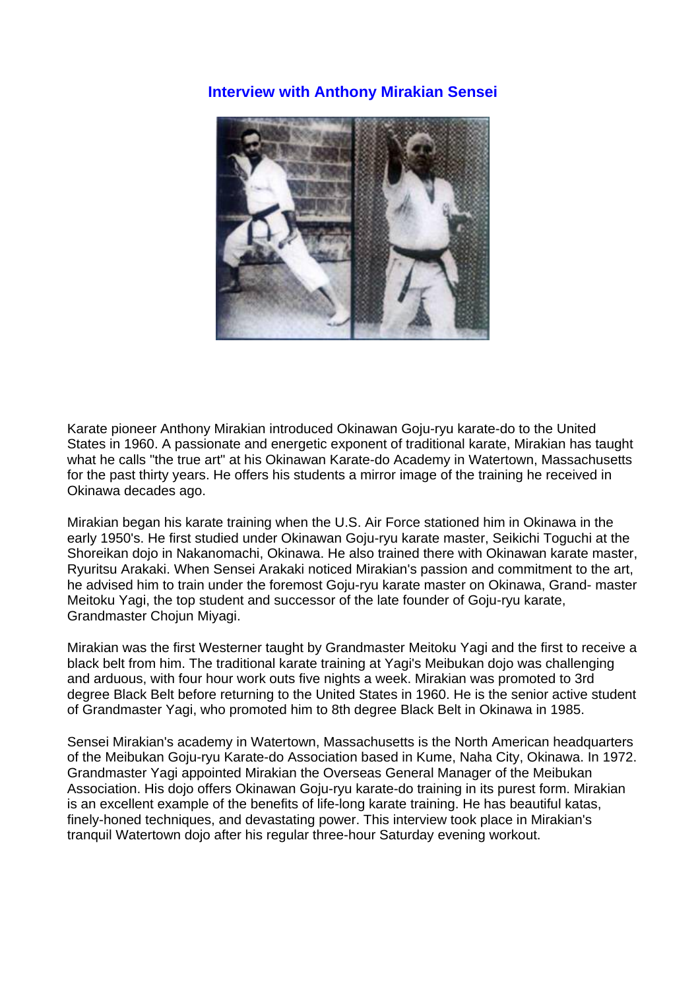# **Interview with Anthony Mirakian Sensei**



Karate pioneer Anthony Mirakian introduced Okinawan Goju-ryu karate-do to the United States in 1960. A passionate and energetic exponent of traditional karate, Mirakian has taught what he calls "the true art" at his Okinawan Karate-do Academy in Watertown, Massachusetts for the past thirty years. He offers his students a mirror image of the training he received in Okinawa decades ago.

Mirakian began his karate training when the U.S. Air Force stationed him in Okinawa in the early 1950's. He first studied under Okinawan Goju-ryu karate master, Seikichi Toguchi at the Shoreikan dojo in Nakanomachi, Okinawa. He also trained there with Okinawan karate master, Ryuritsu Arakaki. When Sensei Arakaki noticed Mirakian's passion and commitment to the art, he advised him to train under the foremost Goju-ryu karate master on Okinawa, Grand- master Meitoku Yagi, the top student and successor of the late founder of Goju-ryu karate, Grandmaster Chojun Miyagi.

Mirakian was the first Westerner taught by Grandmaster Meitoku Yagi and the first to receive a black belt from him. The traditional karate training at Yagi's Meibukan dojo was challenging and arduous, with four hour work outs five nights a week. Mirakian was promoted to 3rd degree Black Belt before returning to the United States in 1960. He is the senior active student of Grandmaster Yagi, who promoted him to 8th degree Black Belt in Okinawa in 1985.

Sensei Mirakian's academy in Watertown, Massachusetts is the North American headquarters of the Meibukan Goju-ryu Karate-do Association based in Kume, Naha City, Okinawa. In 1972. Grandmaster Yagi appointed Mirakian the Overseas General Manager of the Meibukan Association. His dojo offers Okinawan Goju-ryu karate-do training in its purest form. Mirakian is an excellent example of the benefits of life-long karate training. He has beautiful katas, finely-honed techniques, and devastating power. This interview took place in Mirakian's tranquil Watertown dojo after his regular three-hour Saturday evening workout.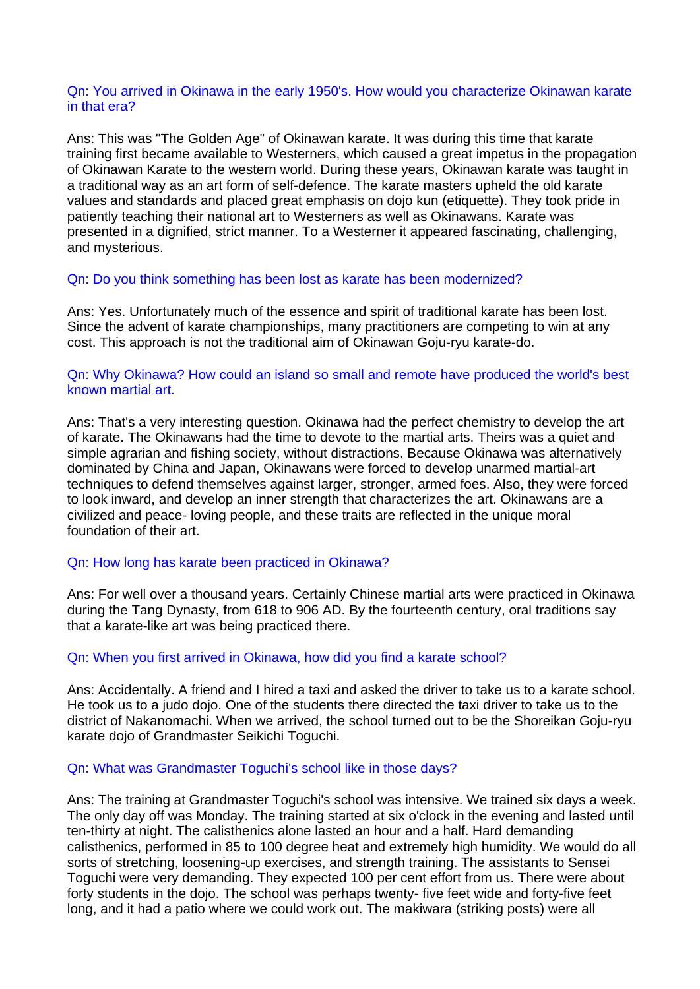### Qn: You arrived in Okinawa in the early 1950's. How would you characterize Okinawan karate in that era?

Ans: This was "The Golden Age" of Okinawan karate. It was during this time that karate training first became available to Westerners, which caused a great impetus in the propagation of Okinawan Karate to the western world. During these years, Okinawan karate was taught in a traditional way as an art form of self-defence. The karate masters upheld the old karate values and standards and placed great emphasis on dojo kun (etiquette). They took pride in patiently teaching their national art to Westerners as well as Okinawans. Karate was presented in a dignified, strict manner. To a Westerner it appeared fascinating, challenging, and mysterious.

### Qn: Do you think something has been lost as karate has been modernized?

Ans: Yes. Unfortunately much of the essence and spirit of traditional karate has been lost. Since the advent of karate championships, many practitioners are competing to win at any cost. This approach is not the traditional aim of Okinawan Goju-ryu karate-do.

### Qn: Why Okinawa? How could an island so small and remote have produced the world's best known martial art.

Ans: That's a very interesting question. Okinawa had the perfect chemistry to develop the art of karate. The Okinawans had the time to devote to the martial arts. Theirs was a quiet and simple agrarian and fishing society, without distractions. Because Okinawa was alternatively dominated by China and Japan, Okinawans were forced to develop unarmed martial-art techniques to defend themselves against larger, stronger, armed foes. Also, they were forced to look inward, and develop an inner strength that characterizes the art. Okinawans are a civilized and peace- loving people, and these traits are reflected in the unique moral foundation of their art.

### Qn: How long has karate been practiced in Okinawa?

Ans: For well over a thousand years. Certainly Chinese martial arts were practiced in Okinawa during the Tang Dynasty, from 618 to 906 AD. By the fourteenth century, oral traditions say that a karate-like art was being practiced there.

#### Qn: When you first arrived in Okinawa, how did you find a karate school?

Ans: Accidentally. A friend and I hired a taxi and asked the driver to take us to a karate school. He took us to a judo dojo. One of the students there directed the taxi driver to take us to the district of Nakanomachi. When we arrived, the school turned out to be the Shoreikan Goju-ryu karate dojo of Grandmaster Seikichi Toguchi.

#### Qn: What was Grandmaster Toguchi's school like in those days?

Ans: The training at Grandmaster Toguchi's school was intensive. We trained six days a week. The only day off was Monday. The training started at six o'clock in the evening and lasted until ten-thirty at night. The calisthenics alone lasted an hour and a half. Hard demanding calisthenics, performed in 85 to 100 degree heat and extremely high humidity. We would do all sorts of stretching, loosening-up exercises, and strength training. The assistants to Sensei Toguchi were very demanding. They expected 100 per cent effort from us. There were about forty students in the dojo. The school was perhaps twenty- five feet wide and forty-five feet long, and it had a patio where we could work out. The makiwara (striking posts) were all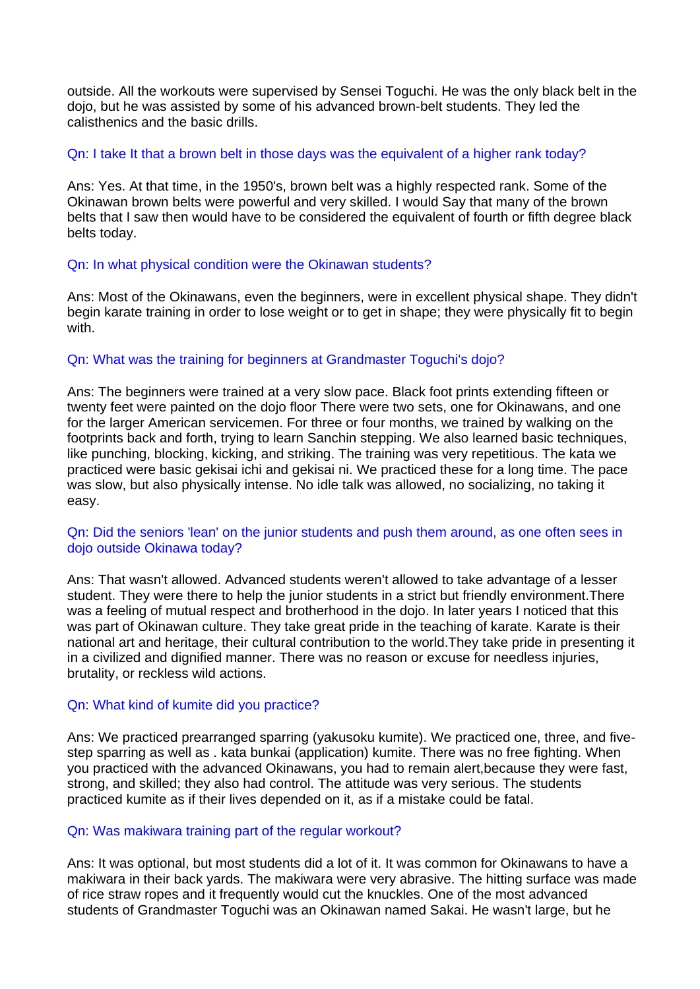outside. All the workouts were supervised by Sensei Toguchi. He was the only black belt in the dojo, but he was assisted by some of his advanced brown-belt students. They led the calisthenics and the basic drills.

### Qn: I take It that a brown belt in those days was the equivalent of a higher rank today?

Ans: Yes. At that time, in the 1950's, brown belt was a highly respected rank. Some of the Okinawan brown belts were powerful and very skilled. I would Say that many of the brown belts that I saw then would have to be considered the equivalent of fourth or fifth degree black belts today.

### Qn: In what physical condition were the Okinawan students?

Ans: Most of the Okinawans, even the beginners, were in excellent physical shape. They didn't begin karate training in order to lose weight or to get in shape; they were physically fit to begin with.

### Qn: What was the training for beginners at Grandmaster Toguchi's dojo?

Ans: The beginners were trained at a very slow pace. Black foot prints extending fifteen or twenty feet were painted on the dojo floor There were two sets, one for Okinawans, and one for the larger American servicemen. For three or four months, we trained by walking on the footprints back and forth, trying to learn Sanchin stepping. We also learned basic techniques, like punching, blocking, kicking, and striking. The training was very repetitious. The kata we practiced were basic gekisai ichi and gekisai ni. We practiced these for a long time. The pace was slow, but also physically intense. No idle talk was allowed, no socializing, no taking it easy.

### Qn: Did the seniors 'lean' on the junior students and push them around, as one often sees in dojo outside Okinawa today?

Ans: That wasn't allowed. Advanced students weren't allowed to take advantage of a lesser student. They were there to help the junior students in a strict but friendly environment.There was a feeling of mutual respect and brotherhood in the dojo. In later years I noticed that this was part of Okinawan culture. They take great pride in the teaching of karate. Karate is their national art and heritage, their cultural contribution to the world.They take pride in presenting it in a civilized and dignified manner. There was no reason or excuse for needless injuries, brutality, or reckless wild actions.

### Qn: What kind of kumite did you practice?

Ans: We practiced prearranged sparring (yakusoku kumite). We practiced one, three, and fivestep sparring as well as . kata bunkai (application) kumite. There was no free fighting. When you practiced with the advanced Okinawans, you had to remain alert,because they were fast, strong, and skilled; they also had control. The attitude was very serious. The students practiced kumite as if their lives depended on it, as if a mistake could be fatal.

### Qn: Was makiwara training part of the regular workout?

Ans: It was optional, but most students did a lot of it. It was common for Okinawans to have a makiwara in their back yards. The makiwara were very abrasive. The hitting surface was made of rice straw ropes and it frequently would cut the knuckles. One of the most advanced students of Grandmaster Toguchi was an Okinawan named Sakai. He wasn't large, but he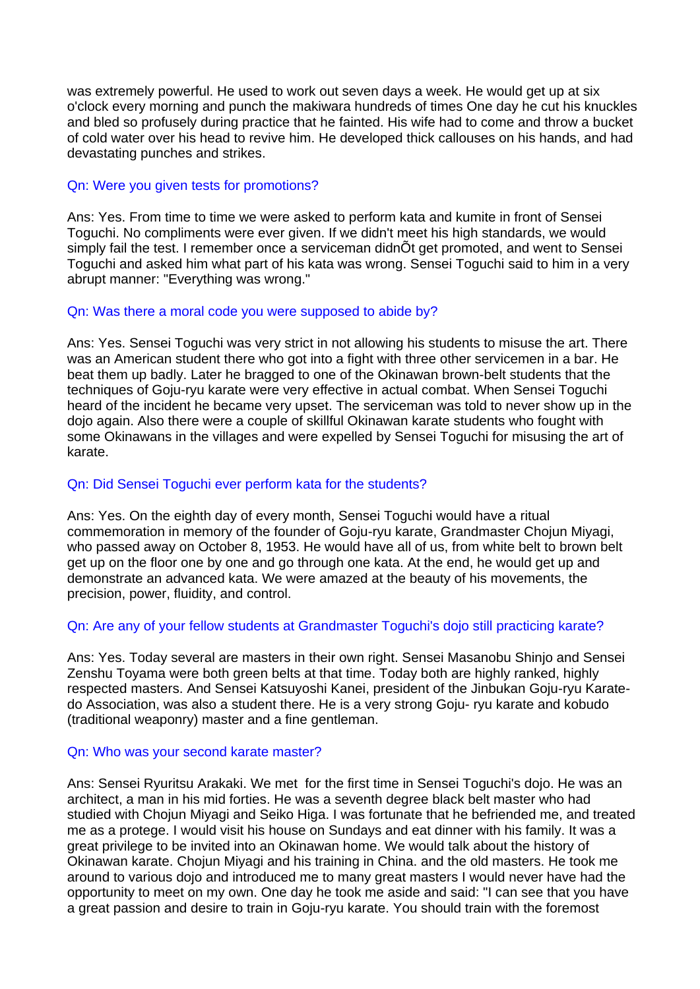was extremely powerful. He used to work out seven days a week. He would get up at six o'clock every morning and punch the makiwara hundreds of times One day he cut his knuckles and bled so profusely during practice that he fainted. His wife had to come and throw a bucket of cold water over his head to revive him. He developed thick callouses on his hands, and had devastating punches and strikes.

## Qn: Were you given tests for promotions?

Ans: Yes. From time to time we were asked to perform kata and kumite in front of Sensei Toguchi. No compliments were ever given. If we didn't meet his high standards, we would simply fail the test. I remember once a serviceman didnÕt get promoted, and went to Sensei Toguchi and asked him what part of his kata was wrong. Sensei Toguchi said to him in a very abrupt manner: "Everything was wrong."

# Qn: Was there a moral code you were supposed to abide by?

Ans: Yes. Sensei Toguchi was very strict in not allowing his students to misuse the art. There was an American student there who got into a fight with three other servicemen in a bar. He beat them up badly. Later he bragged to one of the Okinawan brown-belt students that the techniques of Goju-ryu karate were very effective in actual combat. When Sensei Toguchi heard of the incident he became very upset. The serviceman was told to never show up in the dojo again. Also there were a couple of skillful Okinawan karate students who fought with some Okinawans in the villages and were expelled by Sensei Toguchi for misusing the art of karate.

# Qn: Did Sensei Toguchi ever perform kata for the students?

Ans: Yes. On the eighth day of every month, Sensei Toguchi would have a ritual commemoration in memory of the founder of Goju-ryu karate, Grandmaster Chojun Miyagi, who passed away on October 8, 1953. He would have all of us, from white belt to brown belt get up on the floor one by one and go through one kata. At the end, he would get up and demonstrate an advanced kata. We were amazed at the beauty of his movements, the precision, power, fluidity, and control.

# Qn: Are any of your fellow students at Grandmaster Toguchi's dojo still practicing karate?

Ans: Yes. Today several are masters in their own right. Sensei Masanobu Shinjo and Sensei Zenshu Toyama were both green belts at that time. Today both are highly ranked, highly respected masters. And Sensei Katsuyoshi Kanei, president of the Jinbukan Goju-ryu Karatedo Association, was also a student there. He is a very strong Goju- ryu karate and kobudo (traditional weaponry) master and a fine gentleman.

### Qn: Who was your second karate master?

Ans: Sensei Ryuritsu Arakaki. We met for the first time in Sensei Toguchi's dojo. He was an architect, a man in his mid forties. He was a seventh degree black belt master who had studied with Chojun Miyagi and Seiko Higa. I was fortunate that he befriended me, and treated me as a protege. I would visit his house on Sundays and eat dinner with his family. It was a great privilege to be invited into an Okinawan home. We would talk about the history of Okinawan karate. Chojun Miyagi and his training in China. and the old masters. He took me around to various dojo and introduced me to many great masters I would never have had the opportunity to meet on my own. One day he took me aside and said: "I can see that you have a great passion and desire to train in Goju-ryu karate. You should train with the foremost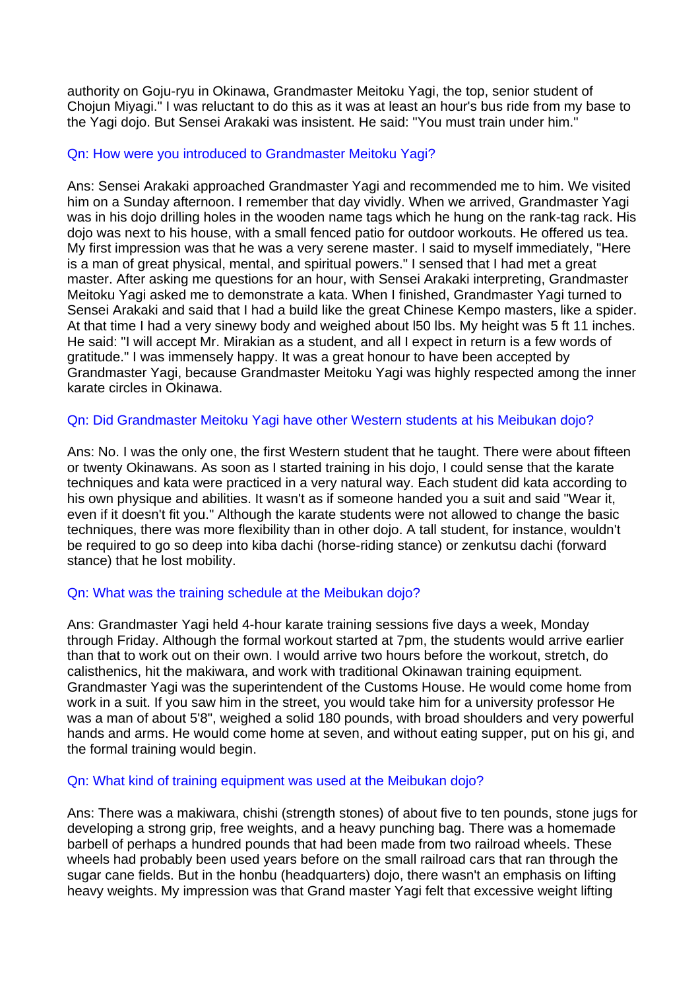authority on Goju-ryu in Okinawa, Grandmaster Meitoku Yagi, the top, senior student of Chojun Miyagi." I was reluctant to do this as it was at least an hour's bus ride from my base to the Yagi dojo. But Sensei Arakaki was insistent. He said: "You must train under him."

### Qn: How were you introduced to Grandmaster Meitoku Yagi?

Ans: Sensei Arakaki approached Grandmaster Yagi and recommended me to him. We visited him on a Sunday afternoon. I remember that day vividly. When we arrived, Grandmaster Yagi was in his dojo drilling holes in the wooden name tags which he hung on the rank-tag rack. His dojo was next to his house, with a small fenced patio for outdoor workouts. He offered us tea. My first impression was that he was a very serene master. I said to myself immediately, "Here is a man of great physical, mental, and spiritual powers." I sensed that I had met a great master. After asking me questions for an hour, with Sensei Arakaki interpreting, Grandmaster Meitoku Yagi asked me to demonstrate a kata. When I finished, Grandmaster Yagi turned to Sensei Arakaki and said that I had a build like the great Chinese Kempo masters, like a spider. At that time I had a very sinewy body and weighed about l50 lbs. My height was 5 ft 11 inches. He said: "I will accept Mr. Mirakian as a student, and all I expect in return is a few words of gratitude." I was immensely happy. It was a great honour to have been accepted by Grandmaster Yagi, because Grandmaster Meitoku Yagi was highly respected among the inner karate circles in Okinawa.

# Qn: Did Grandmaster Meitoku Yagi have other Western students at his Meibukan dojo?

Ans: No. I was the only one, the first Western student that he taught. There were about fifteen or twenty Okinawans. As soon as I started training in his dojo, I could sense that the karate techniques and kata were practiced in a very natural way. Each student did kata according to his own physique and abilities. It wasn't as if someone handed you a suit and said "Wear it, even if it doesn't fit you." Although the karate students were not allowed to change the basic techniques, there was more flexibility than in other dojo. A tall student, for instance, wouldn't be required to go so deep into kiba dachi (horse-riding stance) or zenkutsu dachi (forward stance) that he lost mobility.

### Qn: What was the training schedule at the Meibukan dojo?

Ans: Grandmaster Yagi held 4-hour karate training sessions five days a week, Monday through Friday. Although the formal workout started at 7pm, the students would arrive earlier than that to work out on their own. I would arrive two hours before the workout, stretch, do calisthenics, hit the makiwara, and work with traditional Okinawan training equipment. Grandmaster Yagi was the superintendent of the Customs House. He would come home from work in a suit. If you saw him in the street, you would take him for a university professor He was a man of about 5'8", weighed a solid 180 pounds, with broad shoulders and very powerful hands and arms. He would come home at seven, and without eating supper, put on his gi, and the formal training would begin.

### Qn: What kind of training equipment was used at the Meibukan dojo?

Ans: There was a makiwara, chishi (strength stones) of about five to ten pounds, stone jugs for developing a strong grip, free weights, and a heavy punching bag. There was a homemade barbell of perhaps a hundred pounds that had been made from two railroad wheels. These wheels had probably been used years before on the small railroad cars that ran through the sugar cane fields. But in the honbu (headquarters) dojo, there wasn't an emphasis on lifting heavy weights. My impression was that Grand master Yagi felt that excessive weight lifting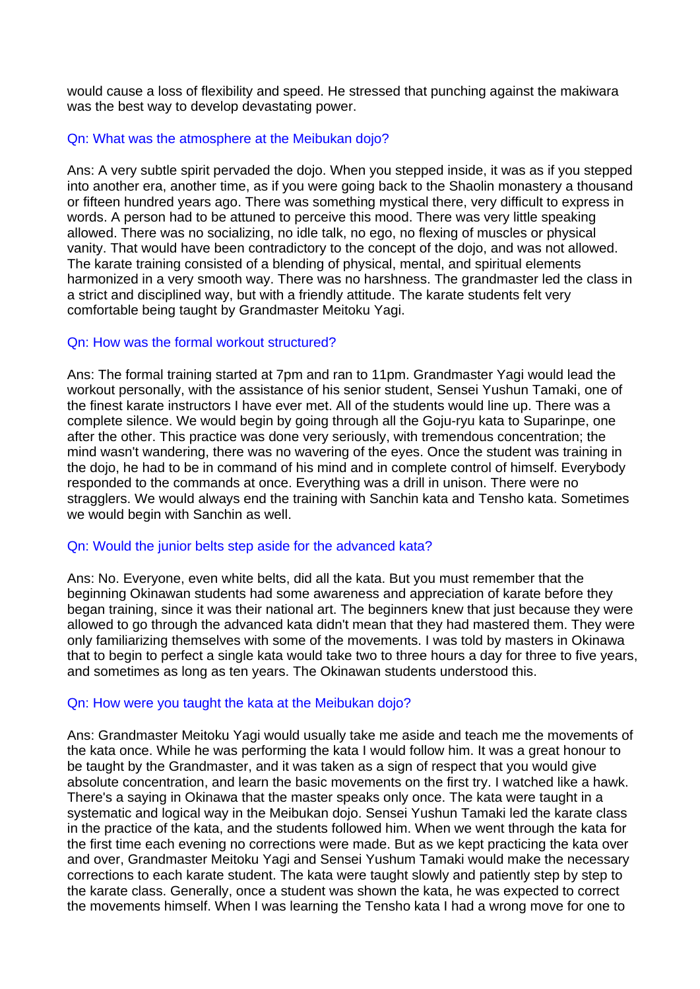would cause a loss of flexibility and speed. He stressed that punching against the makiwara was the best way to develop devastating power.

## Qn: What was the atmosphere at the Meibukan dojo?

Ans: A very subtle spirit pervaded the dojo. When you stepped inside, it was as if you stepped into another era, another time, as if you were going back to the Shaolin monastery a thousand or fifteen hundred years ago. There was something mystical there, very difficult to express in words. A person had to be attuned to perceive this mood. There was very little speaking allowed. There was no socializing, no idle talk, no ego, no flexing of muscles or physical vanity. That would have been contradictory to the concept of the dojo, and was not allowed. The karate training consisted of a blending of physical, mental, and spiritual elements harmonized in a very smooth way. There was no harshness. The grandmaster led the class in a strict and disciplined way, but with a friendly attitude. The karate students felt very comfortable being taught by Grandmaster Meitoku Yagi.

# Qn: How was the formal workout structured?

Ans: The formal training started at 7pm and ran to 11pm. Grandmaster Yagi would lead the workout personally, with the assistance of his senior student, Sensei Yushun Tamaki, one of the finest karate instructors I have ever met. All of the students would line up. There was a complete silence. We would begin by going through all the Goju-ryu kata to Suparinpe, one after the other. This practice was done very seriously, with tremendous concentration; the mind wasn't wandering, there was no wavering of the eyes. Once the student was training in the dojo, he had to be in command of his mind and in complete control of himself. Everybody responded to the commands at once. Everything was a drill in unison. There were no stragglers. We would always end the training with Sanchin kata and Tensho kata. Sometimes we would begin with Sanchin as well.

### Qn: Would the junior belts step aside for the advanced kata?

Ans: No. Everyone, even white belts, did all the kata. But you must remember that the beginning Okinawan students had some awareness and appreciation of karate before they began training, since it was their national art. The beginners knew that just because they were allowed to go through the advanced kata didn't mean that they had mastered them. They were only familiarizing themselves with some of the movements. I was told by masters in Okinawa that to begin to perfect a single kata would take two to three hours a day for three to five years, and sometimes as long as ten years. The Okinawan students understood this.

### Qn: How were you taught the kata at the Meibukan dojo?

Ans: Grandmaster Meitoku Yagi would usually take me aside and teach me the movements of the kata once. While he was performing the kata I would follow him. It was a great honour to be taught by the Grandmaster, and it was taken as a sign of respect that you would give absolute concentration, and learn the basic movements on the first try. I watched like a hawk. There's a saying in Okinawa that the master speaks only once. The kata were taught in a systematic and logical way in the Meibukan dojo. Sensei Yushun Tamaki led the karate class in the practice of the kata, and the students followed him. When we went through the kata for the first time each evening no corrections were made. But as we kept practicing the kata over and over, Grandmaster Meitoku Yagi and Sensei Yushum Tamaki would make the necessary corrections to each karate student. The kata were taught slowly and patiently step by step to the karate class. Generally, once a student was shown the kata, he was expected to correct the movements himself. When I was learning the Tensho kata I had a wrong move for one to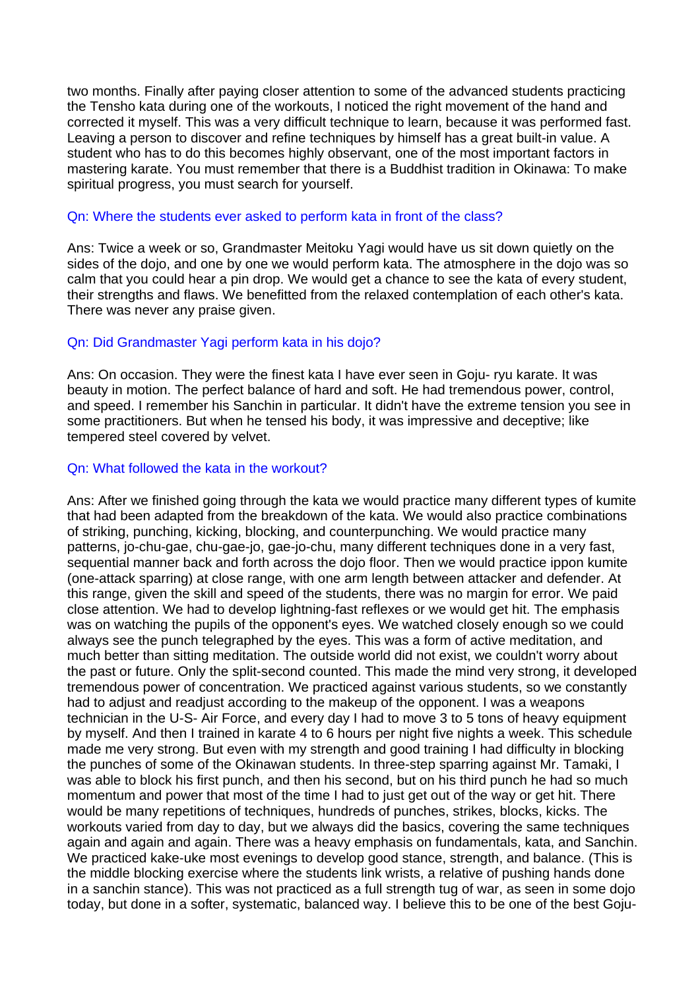two months. Finally after paying closer attention to some of the advanced students practicing the Tensho kata during one of the workouts, I noticed the right movement of the hand and corrected it myself. This was a very difficult technique to learn, because it was performed fast. Leaving a person to discover and refine techniques by himself has a great built-in value. A student who has to do this becomes highly observant, one of the most important factors in mastering karate. You must remember that there is a Buddhist tradition in Okinawa: To make spiritual progress, you must search for yourself.

# Qn: Where the students ever asked to perform kata in front of the class?

Ans: Twice a week or so, Grandmaster Meitoku Yagi would have us sit down quietly on the sides of the dojo, and one by one we would perform kata. The atmosphere in the dojo was so calm that you could hear a pin drop. We would get a chance to see the kata of every student, their strengths and flaws. We benefitted from the relaxed contemplation of each other's kata. There was never any praise given.

# Qn: Did Grandmaster Yagi perform kata in his dojo?

Ans: On occasion. They were the finest kata I have ever seen in Goju- ryu karate. It was beauty in motion. The perfect balance of hard and soft. He had tremendous power, control, and speed. I remember his Sanchin in particular. It didn't have the extreme tension you see in some practitioners. But when he tensed his body, it was impressive and deceptive; like tempered steel covered by velvet.

### Qn: What followed the kata in the workout?

Ans: After we finished going through the kata we would practice many different types of kumite that had been adapted from the breakdown of the kata. We would also practice combinations of striking, punching, kicking, blocking, and counterpunching. We would practice many patterns, jo-chu-gae, chu-gae-jo, gae-jo-chu, many different techniques done in a very fast, sequential manner back and forth across the dojo floor. Then we would practice ippon kumite (one-attack sparring) at close range, with one arm length between attacker and defender. At this range, given the skill and speed of the students, there was no margin for error. We paid close attention. We had to develop lightning-fast reflexes or we would get hit. The emphasis was on watching the pupils of the opponent's eyes. We watched closely enough so we could always see the punch telegraphed by the eyes. This was a form of active meditation, and much better than sitting meditation. The outside world did not exist, we couldn't worry about the past or future. Only the split-second counted. This made the mind very strong, it developed tremendous power of concentration. We practiced against various students, so we constantly had to adjust and readjust according to the makeup of the opponent. I was a weapons technician in the U-S- Air Force, and every day I had to move 3 to 5 tons of heavy equipment by myself. And then I trained in karate 4 to 6 hours per night five nights a week. This schedule made me very strong. But even with my strength and good training I had difficulty in blocking the punches of some of the Okinawan students. In three-step sparring against Mr. Tamaki, I was able to block his first punch, and then his second, but on his third punch he had so much momentum and power that most of the time I had to just get out of the way or get hit. There would be many repetitions of techniques, hundreds of punches, strikes, blocks, kicks. The workouts varied from day to day, but we always did the basics, covering the same techniques again and again and again. There was a heavy emphasis on fundamentals, kata, and Sanchin. We practiced kake-uke most evenings to develop good stance, strength, and balance. (This is the middle blocking exercise where the students link wrists, a relative of pushing hands done in a sanchin stance). This was not practiced as a full strength tug of war, as seen in some dojo today, but done in a softer, systematic, balanced way. I believe this to be one of the best Goju-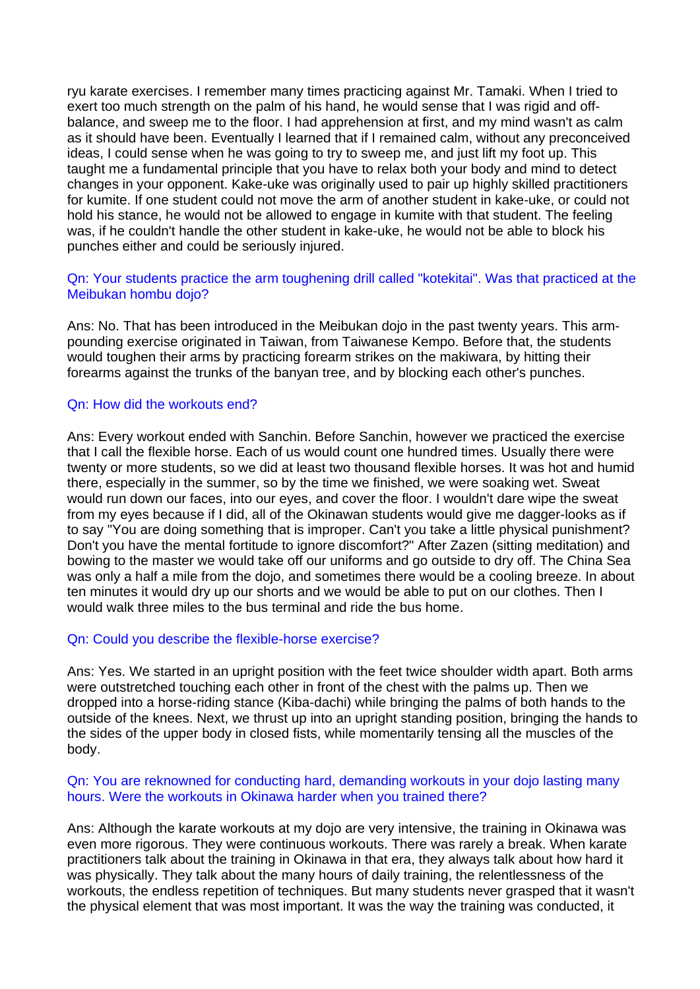ryu karate exercises. I remember many times practicing against Mr. Tamaki. When I tried to exert too much strength on the palm of his hand, he would sense that I was rigid and offbalance, and sweep me to the floor. I had apprehension at first, and my mind wasn't as calm as it should have been. Eventually I learned that if I remained calm, without any preconceived ideas, I could sense when he was going to try to sweep me, and just lift my foot up. This taught me a fundamental principle that you have to relax both your body and mind to detect changes in your opponent. Kake-uke was originally used to pair up highly skilled practitioners for kumite. If one student could not move the arm of another student in kake-uke, or could not hold his stance, he would not be allowed to engage in kumite with that student. The feeling was, if he couldn't handle the other student in kake-uke, he would not be able to block his punches either and could be seriously injured.

### Qn: Your students practice the arm toughening drill called "kotekitai". Was that practiced at the Meibukan hombu dojo?

Ans: No. That has been introduced in the Meibukan dojo in the past twenty years. This armpounding exercise originated in Taiwan, from Taiwanese Kempo. Before that, the students would toughen their arms by practicing forearm strikes on the makiwara, by hitting their forearms against the trunks of the banyan tree, and by blocking each other's punches.

### Qn: How did the workouts end?

Ans: Every workout ended with Sanchin. Before Sanchin, however we practiced the exercise that I call the flexible horse. Each of us would count one hundred times. Usually there were twenty or more students, so we did at least two thousand flexible horses. It was hot and humid there, especially in the summer, so by the time we finished, we were soaking wet. Sweat would run down our faces, into our eyes, and cover the floor. I wouldn't dare wipe the sweat from my eyes because if I did, all of the Okinawan students would give me dagger-looks as if to say "You are doing something that is improper. Can't you take a little physical punishment? Don't you have the mental fortitude to ignore discomfort?" After Zazen (sitting meditation) and bowing to the master we would take off our uniforms and go outside to dry off. The China Sea was only a half a mile from the dojo, and sometimes there would be a cooling breeze. In about ten minutes it would dry up our shorts and we would be able to put on our clothes. Then I would walk three miles to the bus terminal and ride the bus home.

### Qn: Could you describe the flexible-horse exercise?

Ans: Yes. We started in an upright position with the feet twice shoulder width apart. Both arms were outstretched touching each other in front of the chest with the palms up. Then we dropped into a horse-riding stance (Kiba-dachi) while bringing the palms of both hands to the outside of the knees. Next, we thrust up into an upright standing position, bringing the hands to the sides of the upper body in closed fists, while momentarily tensing all the muscles of the body.

### Qn: You are reknowned for conducting hard, demanding workouts in your dojo lasting many hours. Were the workouts in Okinawa harder when you trained there?

Ans: Although the karate workouts at my dojo are very intensive, the training in Okinawa was even more rigorous. They were continuous workouts. There was rarely a break. When karate practitioners talk about the training in Okinawa in that era, they always talk about how hard it was physically. They talk about the many hours of daily training, the relentlessness of the workouts, the endless repetition of techniques. But many students never grasped that it wasn't the physical element that was most important. It was the way the training was conducted, it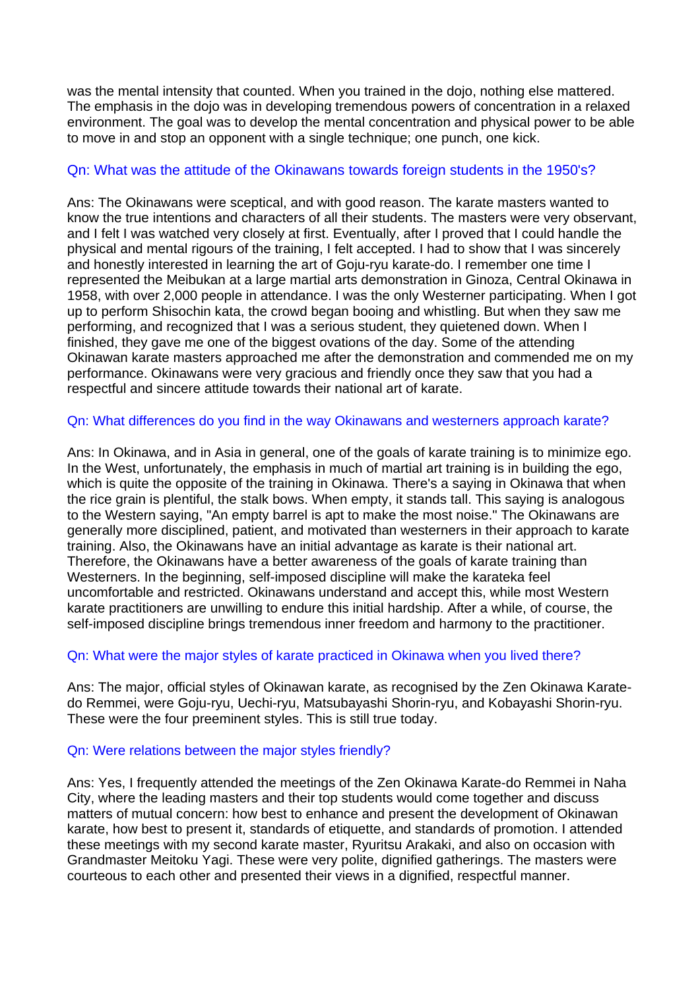was the mental intensity that counted. When you trained in the dojo, nothing else mattered. The emphasis in the dojo was in developing tremendous powers of concentration in a relaxed environment. The goal was to develop the mental concentration and physical power to be able to move in and stop an opponent with a single technique; one punch, one kick.

# Qn: What was the attitude of the Okinawans towards foreign students in the 1950's?

Ans: The Okinawans were sceptical, and with good reason. The karate masters wanted to know the true intentions and characters of all their students. The masters were very observant, and I felt I was watched very closely at first. Eventually, after I proved that I could handle the physical and mental rigours of the training, I felt accepted. I had to show that I was sincerely and honestly interested in learning the art of Goju-ryu karate-do. I remember one time I represented the Meibukan at a large martial arts demonstration in Ginoza, Central Okinawa in 1958, with over 2,000 people in attendance. I was the only Westerner participating. When I got up to perform Shisochin kata, the crowd began booing and whistling. But when they saw me performing, and recognized that I was a serious student, they quietened down. When I finished, they gave me one of the biggest ovations of the day. Some of the attending Okinawan karate masters approached me after the demonstration and commended me on my performance. Okinawans were very gracious and friendly once they saw that you had a respectful and sincere attitude towards their national art of karate.

### Qn: What differences do you find in the way Okinawans and westerners approach karate?

Ans: In Okinawa, and in Asia in general, one of the goals of karate training is to minimize ego. In the West, unfortunately, the emphasis in much of martial art training is in building the ego, which is quite the opposite of the training in Okinawa. There's a saying in Okinawa that when the rice grain is plentiful, the stalk bows. When empty, it stands tall. This saying is analogous to the Western saying, "An empty barrel is apt to make the most noise." The Okinawans are generally more disciplined, patient, and motivated than westerners in their approach to karate training. Also, the Okinawans have an initial advantage as karate is their national art. Therefore, the Okinawans have a better awareness of the goals of karate training than Westerners. In the beginning, self-imposed discipline will make the karateka feel uncomfortable and restricted. Okinawans understand and accept this, while most Western karate practitioners are unwilling to endure this initial hardship. After a while, of course, the self-imposed discipline brings tremendous inner freedom and harmony to the practitioner.

# Qn: What were the major styles of karate practiced in Okinawa when you lived there?

Ans: The major, official styles of Okinawan karate, as recognised by the Zen Okinawa Karatedo Remmei, were Goju-ryu, Uechi-ryu, Matsubayashi Shorin-ryu, and Kobayashi Shorin-ryu. These were the four preeminent styles. This is still true today.

# Qn: Were relations between the major styles friendly?

Ans: Yes, I frequently attended the meetings of the Zen Okinawa Karate-do Remmei in Naha City, where the leading masters and their top students would come together and discuss matters of mutual concern: how best to enhance and present the development of Okinawan karate, how best to present it, standards of etiquette, and standards of promotion. I attended these meetings with my second karate master, Ryuritsu Arakaki, and also on occasion with Grandmaster Meitoku Yagi. These were very polite, dignified gatherings. The masters were courteous to each other and presented their views in a dignified, respectful manner.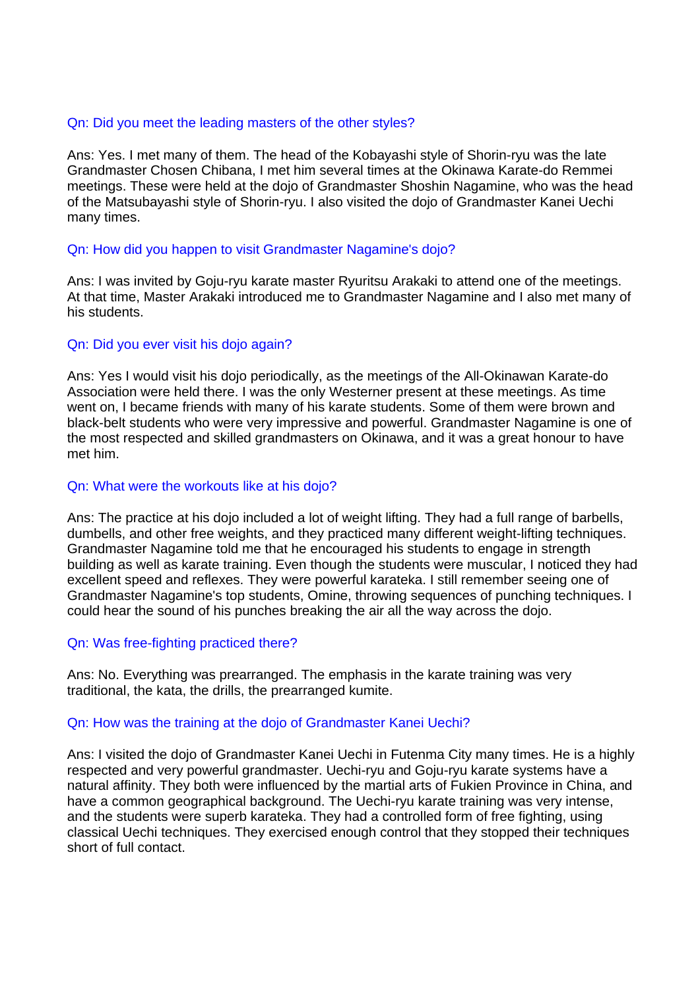### Qn: Did you meet the leading masters of the other styles?

Ans: Yes. I met many of them. The head of the Kobayashi style of Shorin-ryu was the late Grandmaster Chosen Chibana, I met him several times at the Okinawa Karate-do Remmei meetings. These were held at the dojo of Grandmaster Shoshin Nagamine, who was the head of the Matsubayashi style of Shorin-ryu. I also visited the dojo of Grandmaster Kanei Uechi many times.

## Qn: How did you happen to visit Grandmaster Nagamine's dojo?

Ans: I was invited by Goju-ryu karate master Ryuritsu Arakaki to attend one of the meetings. At that time, Master Arakaki introduced me to Grandmaster Nagamine and I also met many of his students.

# Qn: Did you ever visit his dojo again?

Ans: Yes I would visit his dojo periodically, as the meetings of the All-Okinawan Karate-do Association were held there. I was the only Westerner present at these meetings. As time went on, I became friends with many of his karate students. Some of them were brown and black-belt students who were very impressive and powerful. Grandmaster Nagamine is one of the most respected and skilled grandmasters on Okinawa, and it was a great honour to have met him.

# Qn: What were the workouts like at his dojo?

Ans: The practice at his dojo included a lot of weight lifting. They had a full range of barbells, dumbells, and other free weights, and they practiced many different weight-lifting techniques. Grandmaster Nagamine told me that he encouraged his students to engage in strength building as well as karate training. Even though the students were muscular, I noticed they had excellent speed and reflexes. They were powerful karateka. I still remember seeing one of Grandmaster Nagamine's top students, Omine, throwing sequences of punching techniques. I could hear the sound of his punches breaking the air all the way across the dojo.

### Qn: Was free-fighting practiced there?

Ans: No. Everything was prearranged. The emphasis in the karate training was very traditional, the kata, the drills, the prearranged kumite.

### Qn: How was the training at the dojo of Grandmaster Kanei Uechi?

Ans: I visited the dojo of Grandmaster Kanei Uechi in Futenma City many times. He is a highly respected and very powerful grandmaster. Uechi-ryu and Goju-ryu karate systems have a natural affinity. They both were influenced by the martial arts of Fukien Province in China, and have a common geographical background. The Uechi-ryu karate training was very intense, and the students were superb karateka. They had a controlled form of free fighting, using classical Uechi techniques. They exercised enough control that they stopped their techniques short of full contact.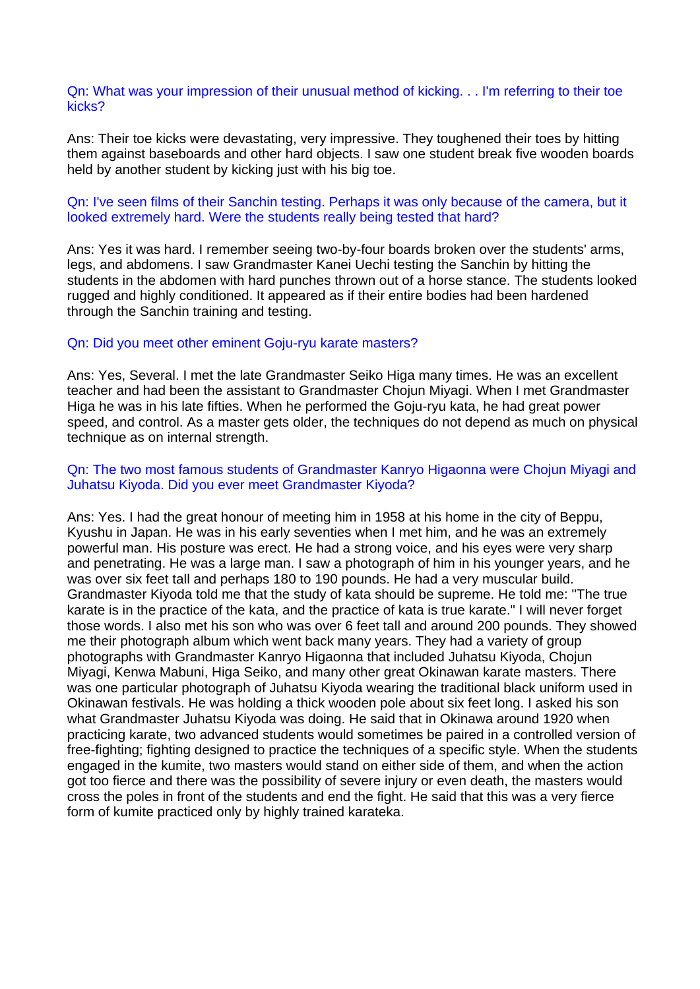Qn: What was your impression of their unusual method of kicking. . . I'm referring to their toe kicks?

Ans: Their toe kicks were devastating, very impressive. They toughened their toes by hitting them against baseboards and other hard objects. I saw one student break five wooden boards held by another student by kicking just with his big toe.

### Qn: I've seen films of their Sanchin testing. Perhaps it was only because of the camera, but it looked extremely hard. Were the students really being tested that hard?

Ans: Yes it was hard. I remember seeing two-by-four boards broken over the students' arms, legs, and abdomens. I saw Grandmaster Kanei Uechi testing the Sanchin by hitting the students in the abdomen with hard punches thrown out of a horse stance. The students looked rugged and highly conditioned. It appeared as if their entire bodies had been hardened through the Sanchin training and testing.

### Qn: Did you meet other eminent Goju-ryu karate masters?

Ans: Yes, Several. I met the late Grandmaster Seiko Higa many times. He was an excellent teacher and had been the assistant to Grandmaster Chojun Miyagi. When I met Grandmaster Higa he was in his late fifties. When he performed the Goju-ryu kata, he had great power speed, and control. As a master gets older, the techniques do not depend as much on physical technique as on internal strength.

### Qn: The two most famous students of Grandmaster Kanryo Higaonna were Chojun Miyagi and Juhatsu Kiyoda. Did you ever meet Grandmaster Kiyoda?

Ans: Yes. I had the great honour of meeting him in 1958 at his home in the city of Beppu, Kyushu in Japan. He was in his early seventies when I met him, and he was an extremely powerful man. His posture was erect. He had a strong voice, and his eyes were very sharp and penetrating. He was a large man. I saw a photograph of him in his younger years, and he was over six feet tall and perhaps 180 to 190 pounds. He had a very muscular build. Grandmaster Kiyoda told me that the study of kata should be supreme. He told me: "The true karate is in the practice of the kata, and the practice of kata is true karate." I will never forget those words. I also met his son who was over 6 feet tall and around 200 pounds. They showed me their photograph album which went back many years. They had a variety of group photographs with Grandmaster Kanryo Higaonna that included Juhatsu Kiyoda, Chojun Miyagi, Kenwa Mabuni, Higa Seiko, and many other great Okinawan karate masters. There was one particular photograph of Juhatsu Kiyoda wearing the traditional black uniform used in Okinawan festivals. He was holding a thick wooden pole about six feet long. I asked his son what Grandmaster Juhatsu Kiyoda was doing. He said that in Okinawa around 1920 when practicing karate, two advanced students would sometimes be paired in a controlled version of free-fighting; fighting designed to practice the techniques of a specific style. When the students engaged in the kumite, two masters would stand on either side of them, and when the action got too fierce and there was the possibility of severe injury or even death, the masters would cross the poles in front of the students and end the fight. He said that this was a very fierce form of kumite practiced only by highly trained karateka.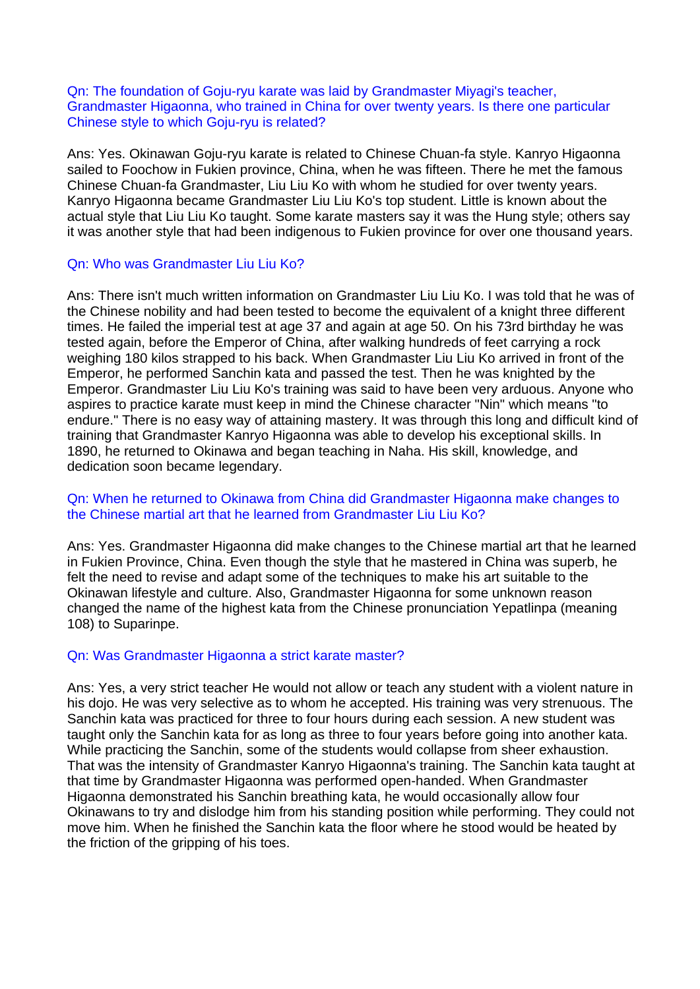Qn: The foundation of Goju-ryu karate was laid by Grandmaster Miyagi's teacher, Grandmaster Higaonna, who trained in China for over twenty years. Is there one particular Chinese style to which Goju-ryu is related?

Ans: Yes. Okinawan Goju-ryu karate is related to Chinese Chuan-fa style. Kanryo Higaonna sailed to Foochow in Fukien province, China, when he was fifteen. There he met the famous Chinese Chuan-fa Grandmaster, Liu Liu Ko with whom he studied for over twenty years. Kanryo Higaonna became Grandmaster Liu Liu Ko's top student. Little is known about the actual style that Liu Liu Ko taught. Some karate masters say it was the Hung style; others say it was another style that had been indigenous to Fukien province for over one thousand years.

## Qn: Who was Grandmaster Liu Liu Ko?

Ans: There isn't much written information on Grandmaster Liu Liu Ko. I was told that he was of the Chinese nobility and had been tested to become the equivalent of a knight three different times. He failed the imperial test at age 37 and again at age 50. On his 73rd birthday he was tested again, before the Emperor of China, after walking hundreds of feet carrying a rock weighing 180 kilos strapped to his back. When Grandmaster Liu Liu Ko arrived in front of the Emperor, he performed Sanchin kata and passed the test. Then he was knighted by the Emperor. Grandmaster Liu Liu Ko's training was said to have been very arduous. Anyone who aspires to practice karate must keep in mind the Chinese character "Nin" which means "to endure." There is no easy way of attaining mastery. It was through this long and difficult kind of training that Grandmaster Kanryo Higaonna was able to develop his exceptional skills. In 1890, he returned to Okinawa and began teaching in Naha. His skill, knowledge, and dedication soon became legendary.

# Qn: When he returned to Okinawa from China did Grandmaster Higaonna make changes to the Chinese martial art that he learned from Grandmaster Liu Liu Ko?

Ans: Yes. Grandmaster Higaonna did make changes to the Chinese martial art that he learned in Fukien Province, China. Even though the style that he mastered in China was superb, he felt the need to revise and adapt some of the techniques to make his art suitable to the Okinawan lifestyle and culture. Also, Grandmaster Higaonna for some unknown reason changed the name of the highest kata from the Chinese pronunciation Yepatlinpa (meaning 108) to Suparinpe.

### Qn: Was Grandmaster Higaonna a strict karate master?

Ans: Yes, a very strict teacher He would not allow or teach any student with a violent nature in his dojo. He was very selective as to whom he accepted. His training was very strenuous. The Sanchin kata was practiced for three to four hours during each session. A new student was taught only the Sanchin kata for as long as three to four years before going into another kata. While practicing the Sanchin, some of the students would collapse from sheer exhaustion. That was the intensity of Grandmaster Kanryo Higaonna's training. The Sanchin kata taught at that time by Grandmaster Higaonna was performed open-handed. When Grandmaster Higaonna demonstrated his Sanchin breathing kata, he would occasionally allow four Okinawans to try and dislodge him from his standing position while performing. They could not move him. When he finished the Sanchin kata the floor where he stood would be heated by the friction of the gripping of his toes.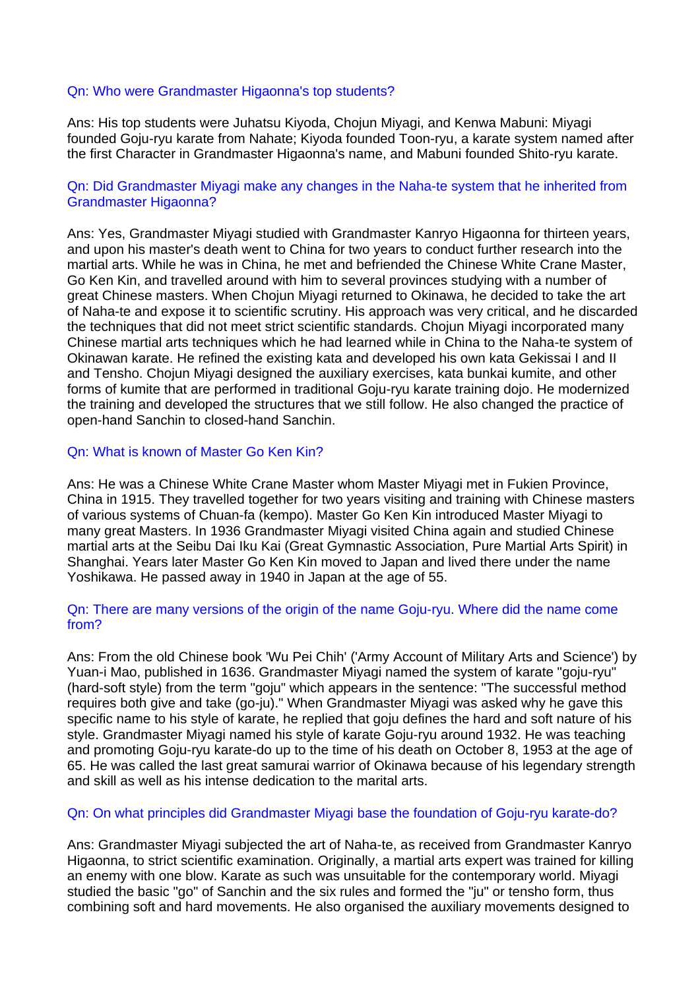### Qn: Who were Grandmaster Higaonna's top students?

Ans: His top students were Juhatsu Kiyoda, Chojun Miyagi, and Kenwa Mabuni: Miyagi founded Goju-ryu karate from Nahate; Kiyoda founded Toon-ryu, a karate system named after the first Character in Grandmaster Higaonna's name, and Mabuni founded Shito-ryu karate.

### Qn: Did Grandmaster Miyagi make any changes in the Naha-te system that he inherited from Grandmaster Higaonna?

Ans: Yes, Grandmaster Miyagi studied with Grandmaster Kanryo Higaonna for thirteen years, and upon his master's death went to China for two years to conduct further research into the martial arts. While he was in China, he met and befriended the Chinese White Crane Master, Go Ken Kin, and travelled around with him to several provinces studying with a number of great Chinese masters. When Chojun Miyagi returned to Okinawa, he decided to take the art of Naha-te and expose it to scientific scrutiny. His approach was very critical, and he discarded the techniques that did not meet strict scientific standards. Chojun Miyagi incorporated many Chinese martial arts techniques which he had learned while in China to the Naha-te system of Okinawan karate. He refined the existing kata and developed his own kata Gekissai I and II and Tensho. Chojun Miyagi designed the auxiliary exercises, kata bunkai kumite, and other forms of kumite that are performed in traditional Goju-ryu karate training dojo. He modernized the training and developed the structures that we still follow. He also changed the practice of open-hand Sanchin to closed-hand Sanchin.

### Qn: What is known of Master Go Ken Kin?

Ans: He was a Chinese White Crane Master whom Master Miyagi met in Fukien Province, China in 1915. They travelled together for two years visiting and training with Chinese masters of various systems of Chuan-fa (kempo). Master Go Ken Kin introduced Master Miyagi to many great Masters. In 1936 Grandmaster Miyagi visited China again and studied Chinese martial arts at the Seibu Dai Iku Kai (Great Gymnastic Association, Pure Martial Arts Spirit) in Shanghai. Years later Master Go Ken Kin moved to Japan and lived there under the name Yoshikawa. He passed away in 1940 in Japan at the age of 55.

### Qn: There are many versions of the origin of the name Goju-ryu. Where did the name come from?

Ans: From the old Chinese book 'Wu Pei Chih' ('Army Account of Military Arts and Science') by Yuan-i Mao, published in 1636. Grandmaster Miyagi named the system of karate "goju-ryu" (hard-soft style) from the term "goju" which appears in the sentence: "The successful method requires both give and take (go-ju)." When Grandmaster Miyagi was asked why he gave this specific name to his style of karate, he replied that goju defines the hard and soft nature of his style. Grandmaster Miyagi named his style of karate Goju-ryu around 1932. He was teaching and promoting Goju-ryu karate-do up to the time of his death on October 8, 1953 at the age of 65. He was called the last great samurai warrior of Okinawa because of his legendary strength and skill as well as his intense dedication to the marital arts.

#### Qn: On what principles did Grandmaster Miyagi base the foundation of Goju-ryu karate-do?

Ans: Grandmaster Miyagi subjected the art of Naha-te, as received from Grandmaster Kanryo Higaonna, to strict scientific examination. Originally, a martial arts expert was trained for killing an enemy with one blow. Karate as such was unsuitable for the contemporary world. Miyagi studied the basic "go" of Sanchin and the six rules and formed the "ju" or tensho form, thus combining soft and hard movements. He also organised the auxiliary movements designed to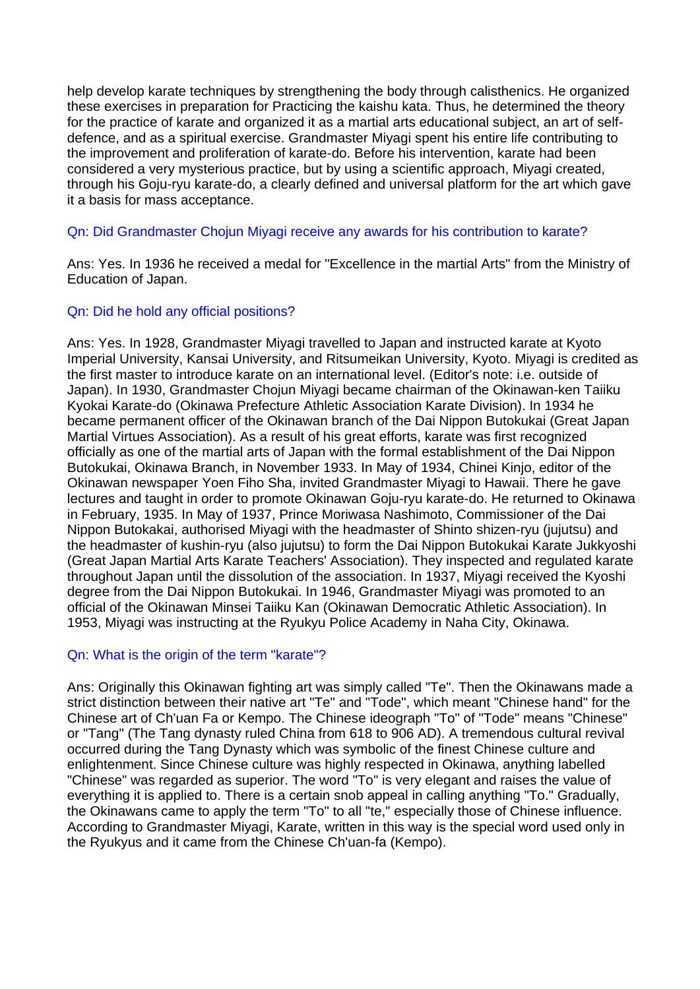help develop karate techniques by strengthening the body through calisthenics. He organized these exercises in preparation for Practicing the kaishu kata. Thus, he determined the theory for the practice of karate and organized it as a martial arts educational subject, an art of selfdefence, and as a spiritual exercise. Grandmaster Miyagi spent his entire life contributing to the improvement and proliferation of karate-do. Before his intervention, karate had been considered a very mysterious practice, but by using a scientific approach, Miyagi created, through his Goju-ryu karate-do, a clearly defined and universal platform for the art which gave it a basis for mass acceptance.

# Qn: Did Grandmaster Chojun Miyagi receive any awards for his contribution to karate?

Ans: Yes. In 1936 he received a medal for "Excellence in the martial Arts" from the Ministry of Education of Japan.

# Qn: Did he hold any official positions?

Ans: Yes. In 1928, Grandmaster Miyagi travelled to Japan and instructed karate at Kyoto Imperial University, Kansai University, and Ritsumeikan University, Kyoto. Miyagi is credited as the first master to introduce karate on an international level. (Editor's note: i.e. outside of Japan). In 1930, Grandmaster Chojun Miyagi became chairman of the Okinawan-ken Taiiku Kyokai Karate-do (Okinawa Prefecture Athletic Association Karate Division). In 1934 he became permanent officer of the Okinawan branch of the Dai Nippon Butokukai (Great Japan Martial Virtues Association). As a result of his great efforts, karate was first recognized officially as one of the martial arts of Japan with the formal establishment of the Dai Nippon Butokukai, Okinawa Branch, in November 1933. In May of 1934, Chinei Kinjo, editor of the Okinawan newspaper Yoen Fiho Sha, invited Grandmaster Miyagi to Hawaii. There he gave lectures and taught in order to promote Okinawan Goju-ryu karate-do. He returned to Okinawa in February, 1935. In May of 1937, Prince Moriwasa Nashimoto, Commissioner of the Dai Nippon Butokakai, authorised Miyagi with the headmaster of Shinto shizen-ryu (jujutsu) and the headmaster of kushin-ryu (also jujutsu) to form the Dai Nippon Butokukai Karate Jukkyoshi (Great Japan Martial Arts Karate Teachers' Association). They inspected and regulated karate throughout Japan until the dissolution of the association. In 1937, Miyagi received the Kyoshi degree from the Dai Nippon Butokukai. In 1946, Grandmaster Miyagi was promoted to an official of the Okinawan Minsei Taiiku Kan (Okinawan Democratic Athletic Association). In 1953, Miyagi was instructing at the Ryukyu Police Academy in Naha City, Okinawa.

### Qn: What is the origin of the term "karate"?

Ans: Originally this Okinawan fighting art was simply called "Te". Then the Okinawans made a strict distinction between their native art "Te" and "Tode", which meant "Chinese hand" for the Chinese art of Ch'uan Fa or Kempo. The Chinese ideograph "To" of "Tode" means "Chinese" or "Tang" (The Tang dynasty ruled China from 618 to 906 AD). A tremendous cultural revival occurred during the Tang Dynasty which was symbolic of the finest Chinese culture and enlightenment. Since Chinese culture was highly respected in Okinawa, anything labelled "Chinese" was regarded as superior. The word "To" is very elegant and raises the value of everything it is applied to. There is a certain snob appeal in calling anything "To." Gradually, the Okinawans came to apply the term "To" to all "te," especially those of Chinese influence. According to Grandmaster Miyagi, Karate, written in this way is the special word used only in the Ryukyus and it came from the Chinese Ch'uan-fa (Kempo).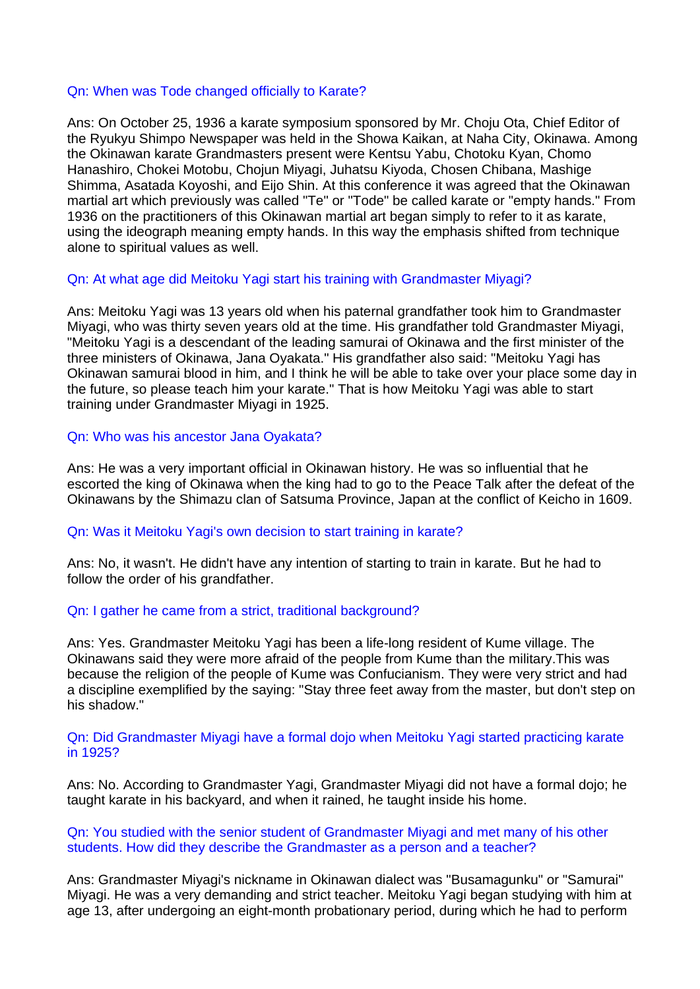### Qn: When was Tode changed officially to Karate?

Ans: On October 25, 1936 a karate symposium sponsored by Mr. Choju Ota, Chief Editor of the Ryukyu Shimpo Newspaper was held in the Showa Kaikan, at Naha City, Okinawa. Among the Okinawan karate Grandmasters present were Kentsu Yabu, Chotoku Kyan, Chomo Hanashiro, Chokei Motobu, Chojun Miyagi, Juhatsu Kiyoda, Chosen Chibana, Mashige Shimma, Asatada Koyoshi, and Eijo Shin. At this conference it was agreed that the Okinawan martial art which previously was called "Te" or "Tode" be called karate or "empty hands." From 1936 on the practitioners of this Okinawan martial art began simply to refer to it as karate, using the ideograph meaning empty hands. In this way the emphasis shifted from technique alone to spiritual values as well.

### Qn: At what age did Meitoku Yagi start his training with Grandmaster Miyagi?

Ans: Meitoku Yagi was 13 years old when his paternal grandfather took him to Grandmaster Miyagi, who was thirty seven years old at the time. His grandfather told Grandmaster Miyagi, "Meitoku Yagi is a descendant of the leading samurai of Okinawa and the first minister of the three ministers of Okinawa, Jana Oyakata." His grandfather also said: "Meitoku Yagi has Okinawan samurai blood in him, and I think he will be able to take over your place some day in the future, so please teach him your karate." That is how Meitoku Yagi was able to start training under Grandmaster Miyagi in 1925.

Qn: Who was his ancestor Jana Oyakata?

Ans: He was a very important official in Okinawan history. He was so influential that he escorted the king of Okinawa when the king had to go to the Peace Talk after the defeat of the Okinawans by the Shimazu clan of Satsuma Province, Japan at the conflict of Keicho in 1609.

### Qn: Was it Meitoku Yagi's own decision to start training in karate?

Ans: No, it wasn't. He didn't have any intention of starting to train in karate. But he had to follow the order of his grandfather.

### Qn: I gather he came from a strict, traditional background?

Ans: Yes. Grandmaster Meitoku Yagi has been a life-long resident of Kume village. The Okinawans said they were more afraid of the people from Kume than the military.This was because the religion of the people of Kume was Confucianism. They were very strict and had a discipline exemplified by the saying: "Stay three feet away from the master, but don't step on his shadow."

### Qn: Did Grandmaster Miyagi have a formal dojo when Meitoku Yagi started practicing karate in 1925?

Ans: No. According to Grandmaster Yagi, Grandmaster Miyagi did not have a formal dojo; he taught karate in his backyard, and when it rained, he taught inside his home.

### Qn: You studied with the senior student of Grandmaster Miyagi and met many of his other students. How did they describe the Grandmaster as a person and a teacher?

Ans: Grandmaster Miyagi's nickname in Okinawan dialect was "Busamagunku" or "Samurai" Miyagi. He was a very demanding and strict teacher. Meitoku Yagi began studying with him at age 13, after undergoing an eight-month probationary period, during which he had to perform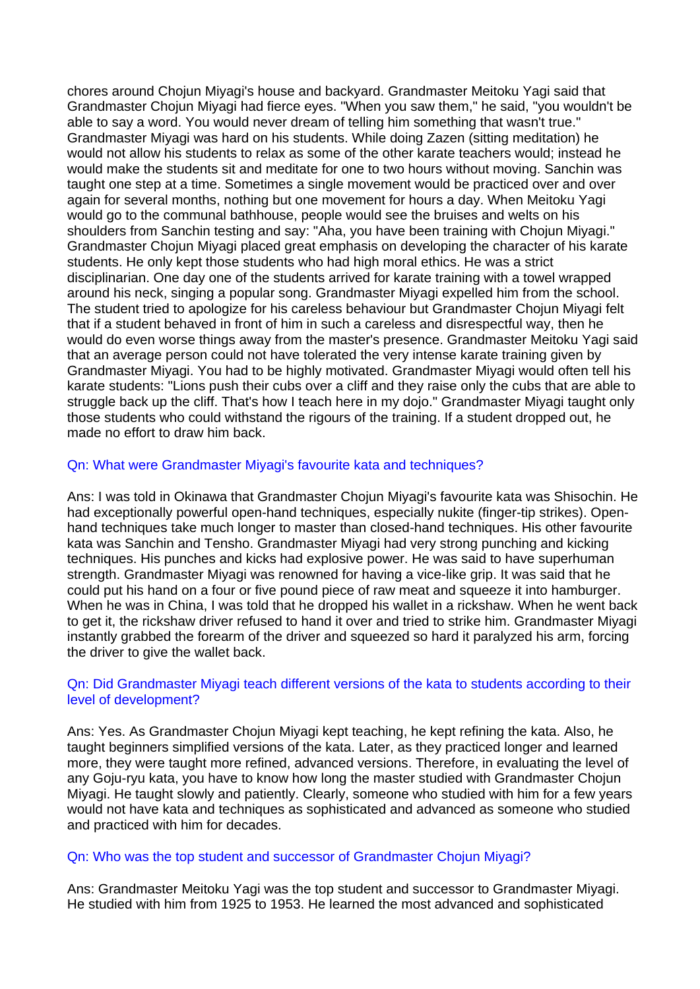chores around Chojun Miyagi's house and backyard. Grandmaster Meitoku Yagi said that Grandmaster Chojun Miyagi had fierce eyes. "When you saw them," he said, "you wouldn't be able to say a word. You would never dream of telling him something that wasn't true." Grandmaster Miyagi was hard on his students. While doing Zazen (sitting meditation) he would not allow his students to relax as some of the other karate teachers would; instead he would make the students sit and meditate for one to two hours without moving. Sanchin was taught one step at a time. Sometimes a single movement would be practiced over and over again for several months, nothing but one movement for hours a day. When Meitoku Yagi would go to the communal bathhouse, people would see the bruises and welts on his shoulders from Sanchin testing and say: "Aha, you have been training with Chojun Miyagi." Grandmaster Chojun Miyagi placed great emphasis on developing the character of his karate students. He only kept those students who had high moral ethics. He was a strict disciplinarian. One day one of the students arrived for karate training with a towel wrapped around his neck, singing a popular song. Grandmaster Miyagi expelled him from the school. The student tried to apologize for his careless behaviour but Grandmaster Chojun Miyagi felt that if a student behaved in front of him in such a careless and disrespectful way, then he would do even worse things away from the master's presence. Grandmaster Meitoku Yagi said that an average person could not have tolerated the very intense karate training given by Grandmaster Miyagi. You had to be highly motivated. Grandmaster Miyagi would often tell his karate students: "Lions push their cubs over a cliff and they raise only the cubs that are able to struggle back up the cliff. That's how I teach here in my dojo." Grandmaster Miyagi taught only those students who could withstand the rigours of the training. If a student dropped out, he made no effort to draw him back.

# Qn: What were Grandmaster Miyagi's favourite kata and techniques?

Ans: I was told in Okinawa that Grandmaster Chojun Miyagi's favourite kata was Shisochin. He had exceptionally powerful open-hand techniques, especially nukite (finger-tip strikes). Openhand techniques take much longer to master than closed-hand techniques. His other favourite kata was Sanchin and Tensho. Grandmaster Miyagi had very strong punching and kicking techniques. His punches and kicks had explosive power. He was said to have superhuman strength. Grandmaster Miyagi was renowned for having a vice-like grip. It was said that he could put his hand on a four or five pound piece of raw meat and squeeze it into hamburger. When he was in China, I was told that he dropped his wallet in a rickshaw. When he went back to get it, the rickshaw driver refused to hand it over and tried to strike him. Grandmaster Miyagi instantly grabbed the forearm of the driver and squeezed so hard it paralyzed his arm, forcing the driver to give the wallet back.

# Qn: Did Grandmaster Miyagi teach different versions of the kata to students according to their level of development?

Ans: Yes. As Grandmaster Chojun Miyagi kept teaching, he kept refining the kata. Also, he taught beginners simplified versions of the kata. Later, as they practiced longer and learned more, they were taught more refined, advanced versions. Therefore, in evaluating the level of any Goju-ryu kata, you have to know how long the master studied with Grandmaster Chojun Miyagi. He taught slowly and patiently. Clearly, someone who studied with him for a few years would not have kata and techniques as sophisticated and advanced as someone who studied and practiced with him for decades.

### Qn: Who was the top student and successor of Grandmaster Chojun Miyagi?

Ans: Grandmaster Meitoku Yagi was the top student and successor to Grandmaster Miyagi. He studied with him from 1925 to 1953. He learned the most advanced and sophisticated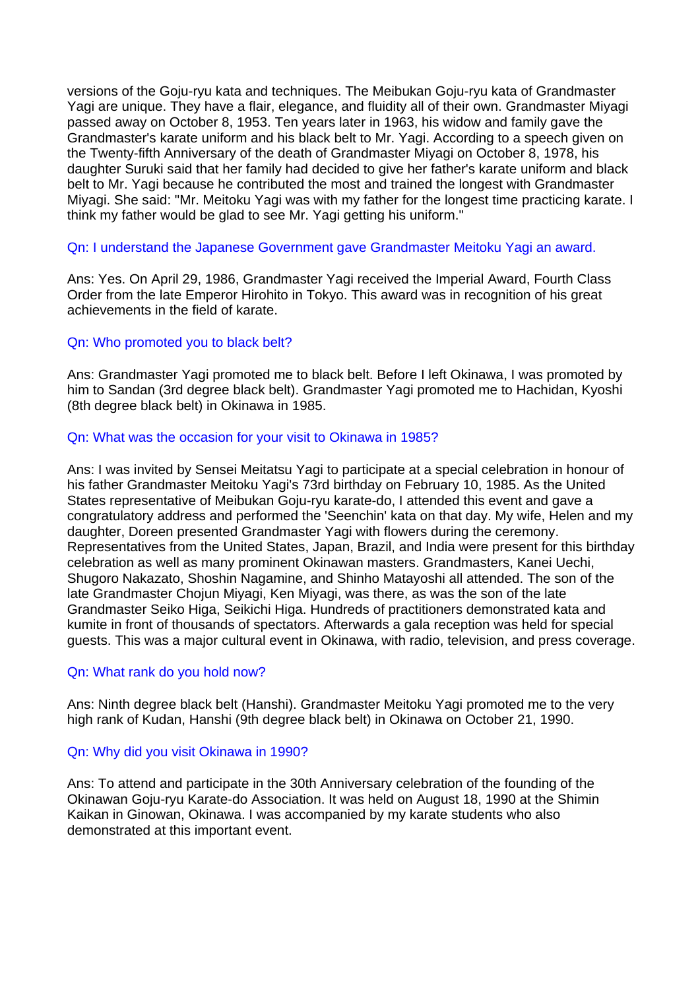versions of the Goju-ryu kata and techniques. The Meibukan Goju-ryu kata of Grandmaster Yagi are unique. They have a flair, elegance, and fluidity all of their own. Grandmaster Miyagi passed away on October 8, 1953. Ten years later in 1963, his widow and family gave the Grandmaster's karate uniform and his black belt to Mr. Yagi. According to a speech given on the Twenty-fifth Anniversary of the death of Grandmaster Miyagi on October 8, 1978, his daughter Suruki said that her family had decided to give her father's karate uniform and black belt to Mr. Yagi because he contributed the most and trained the longest with Grandmaster Miyagi. She said: "Mr. Meitoku Yagi was with my father for the longest time practicing karate. I think my father would be glad to see Mr. Yagi getting his uniform."

### Qn: I understand the Japanese Government gave Grandmaster Meitoku Yagi an award.

Ans: Yes. On April 29, 1986, Grandmaster Yagi received the Imperial Award, Fourth Class Order from the late Emperor Hirohito in Tokyo. This award was in recognition of his great achievements in the field of karate.

### Qn: Who promoted you to black belt?

Ans: Grandmaster Yagi promoted me to black belt. Before I left Okinawa, I was promoted by him to Sandan (3rd degree black belt). Grandmaster Yagi promoted me to Hachidan, Kyoshi (8th degree black belt) in Okinawa in 1985.

### Qn: What was the occasion for your visit to Okinawa in 1985?

Ans: I was invited by Sensei Meitatsu Yagi to participate at a special celebration in honour of his father Grandmaster Meitoku Yagi's 73rd birthday on February 10, 1985. As the United States representative of Meibukan Goju-ryu karate-do, I attended this event and gave a congratulatory address and performed the 'Seenchin' kata on that day. My wife, Helen and my daughter, Doreen presented Grandmaster Yagi with flowers during the ceremony. Representatives from the United States, Japan, Brazil, and India were present for this birthday celebration as well as many prominent Okinawan masters. Grandmasters, Kanei Uechi, Shugoro Nakazato, Shoshin Nagamine, and Shinho Matayoshi all attended. The son of the late Grandmaster Chojun Miyagi, Ken Miyagi, was there, as was the son of the late Grandmaster Seiko Higa, Seikichi Higa. Hundreds of practitioners demonstrated kata and kumite in front of thousands of spectators. Afterwards a gala reception was held for special guests. This was a major cultural event in Okinawa, with radio, television, and press coverage.

### Qn: What rank do you hold now?

Ans: Ninth degree black belt (Hanshi). Grandmaster Meitoku Yagi promoted me to the very high rank of Kudan, Hanshi (9th degree black belt) in Okinawa on October 21, 1990.

### Qn: Why did you visit Okinawa in 1990?

Ans: To attend and participate in the 30th Anniversary celebration of the founding of the Okinawan Goju-ryu Karate-do Association. It was held on August 18, 1990 at the Shimin Kaikan in Ginowan, Okinawa. I was accompanied by my karate students who also demonstrated at this important event.